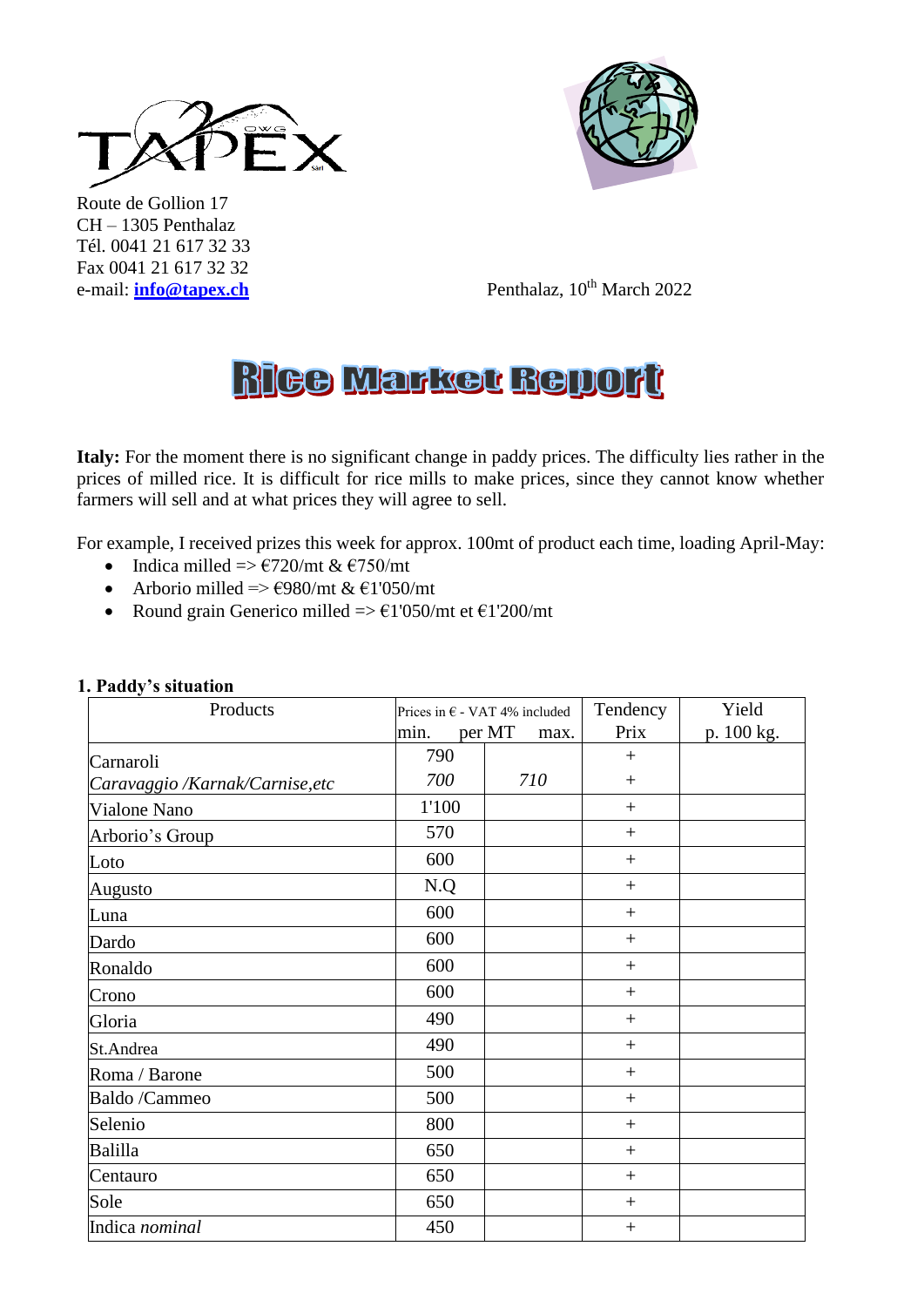



Route de Gollion 17 CH – 1305 Penthalaz Tél. 0041 21 617 32 33 Fax 0041 21 617 32 32

e-mail: **[info@tapex.ch](mailto:info@tapex.ch)** Penthalaz, 10<sup>th</sup> March 2022

# **REE Market Report**

**Italy:** For the moment there is no significant change in paddy prices. The difficulty lies rather in the prices of milled rice. It is difficult for rice mills to make prices, since they cannot know whether farmers will sell and at what prices they will agree to sell.

For example, I received prizes this week for approx. 100mt of product each time, loading April-May:

- Indica milled  $\Rightarrow$   $\epsilon$ 720/mt &  $\epsilon$ 750/mt
- Arborio milled =>  $\epsilon$ 980/mt &  $\epsilon$ 1'050/mt
- Round grain Generico milled =>  $\epsilon$ 1'050/mt et  $\epsilon$ 1'200/mt

| Products                         |       | Prices in $\epsilon$ - VAT 4% included | Tendency<br>Prix | Yield      |
|----------------------------------|-------|----------------------------------------|------------------|------------|
|                                  | min.  | per MT<br>max.                         |                  | p. 100 kg. |
| Carnaroli                        | 790   |                                        | $+$              |            |
| Caravaggio / Karnak/Carnise, etc | 700   | 710                                    | $^{+}$           |            |
| Vialone Nano                     | 1'100 |                                        | $+$              |            |
| Arborio's Group                  | 570   |                                        | $+$              |            |
| Loto                             | 600   |                                        | $+$              |            |
| Augusto                          | N.Q   |                                        | $+$              |            |
| Luna                             | 600   |                                        | $+$              |            |
| Dardo                            | 600   |                                        | $+$              |            |
| Ronaldo                          | 600   |                                        | $^{+}$           |            |
| Crono                            | 600   |                                        | $+$              |            |
| Gloria                           | 490   |                                        | $^{+}$           |            |
| St.Andrea                        | 490   |                                        | $^{+}$           |            |
| Roma / Barone                    | 500   |                                        | $^{+}$           |            |
| Baldo /Cammeo                    | 500   |                                        | $^{+}$           |            |
| Selenio                          | 800   |                                        | $+$              |            |
| Balilla                          | 650   |                                        | $^{+}$           |            |
| Centauro                         | 650   |                                        | $+$              |            |
| Sole                             | 650   |                                        | $^{+}$           |            |
| Indica nominal                   | 450   |                                        | $^{+}$           |            |

#### **1. Paddy's situation**